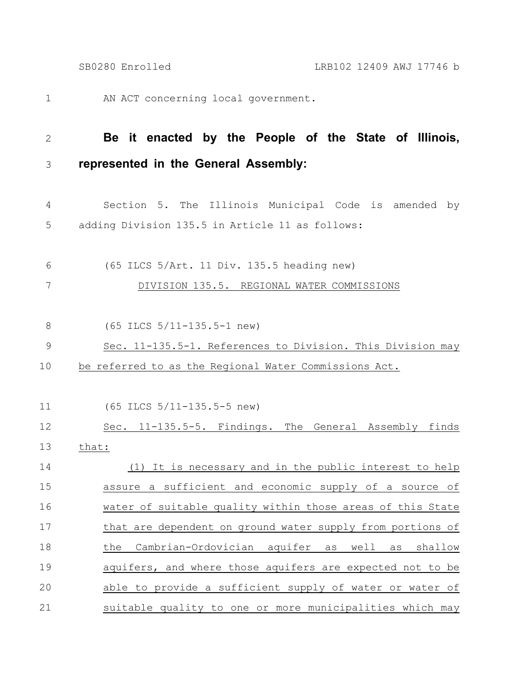AN ACT concerning local government. 1

## **Be it enacted by the People of the State of Illinois, represented in the General Assembly:** 2 3

- Section 5. The Illinois Municipal Code is amended by adding Division 135.5 in Article 11 as follows: 4 5
- (65 ILCS 5/Art. 11 Div. 135.5 heading new) 6

DIVISION 135.5. REGIONAL WATER COMMISSIONS 7

- (65 ILCS 5/11-135.5-1 new) 8
- Sec. 11-135.5-1. References to Division. This Division may 9
- be referred to as the Regional Water Commissions Act. 10

(65 ILCS 5/11-135.5-5 new) 11

Sec. 11-135.5-5. Findings. The General Assembly finds that: (1) It is necessary and in the public interest to help assure a sufficient and economic supply of a source of water of suitable quality within those areas of this State that are dependent on ground water supply from portions of the Cambrian-Ordovician aquifer as well as shallow aquifers, and where those aquifers are expected not to be able to provide a sufficient supply of water or water of suitable quality to one or more municipalities which may 12 13 14 15 16 17 18 19 20 21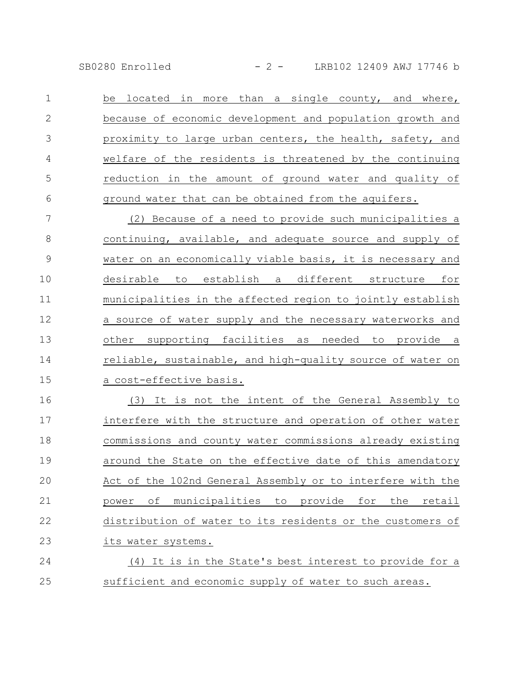SB0280 Enrolled - 2 - LRB102 12409 AWJ 17746 b

be located in more than a single county, and where, because of economic development and population growth and proximity to large urban centers, the health, safety, and welfare of the residents is threatened by the continuing reduction in the amount of ground water and quality of ground water that can be obtained from the aquifers. 1 2 3 4 5 6

(2) Because of a need to provide such municipalities a continuing, available, and adequate source and supply of water on an economically viable basis, it is necessary and desirable to establish a different structure for municipalities in the affected region to jointly establish a source of water supply and the necessary waterworks and other supporting facilities as needed to provide a reliable, sustainable, and high-quality source of water on a cost-effective basis. 7 8 9 10 11 12 13 14 15

(3) It is not the intent of the General Assembly to interfere with the structure and operation of other water commissions and county water commissions already existing around the State on the effective date of this amendatory Act of the 102nd General Assembly or to interfere with the power of municipalities to provide for the retail distribution of water to its residents or the customers of its water systems. 16 17 18 19 20 21 22 23

(4) It is in the State's best interest to provide for a sufficient and economic supply of water to such areas. 24 25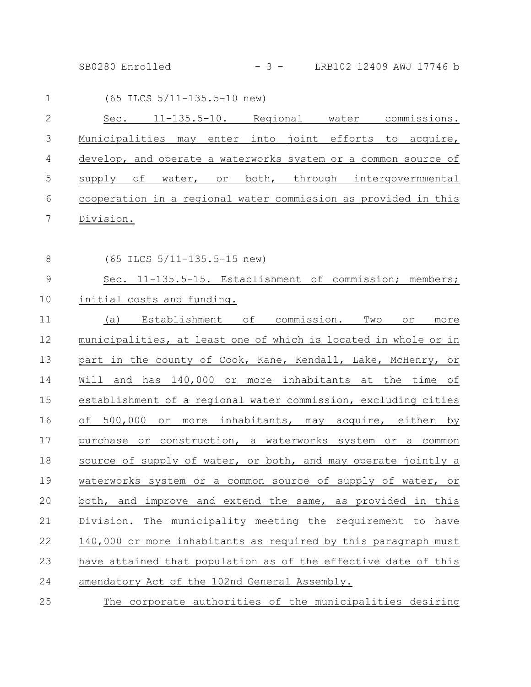SB0280 Enrolled - 3 - LRB102 12409 AWJ 17746 b

| 1  |                                                                | (65 ILCS 5/11-135.5-10 new) |  |          |  |                    |
|----|----------------------------------------------------------------|-----------------------------|--|----------|--|--------------------|
| 2  | Sec.                                                           | $11 - 135.5 - 10.$          |  | Regional |  | water commissions. |
| 3  | Municipalities may enter into joint efforts to acquire,        |                             |  |          |  |                    |
| 4  | develop, and operate a waterworks system or a common source of |                             |  |          |  |                    |
| .5 | supply of water, or both, through intergovernmental            |                             |  |          |  |                    |
| 6  | cooperation in a regional water commission as provided in this |                             |  |          |  |                    |
|    | Division.                                                      |                             |  |          |  |                    |

8

(65 ILCS 5/11-135.5-15 new)

Sec. 11-135.5-15. Establishment of commission; members; initial costs and funding. 9 10

(a) Establishment of commission. Two or more municipalities, at least one of which is located in whole or in part in the county of Cook, Kane, Kendall, Lake, McHenry, or Will and has 140,000 or more inhabitants at the time of establishment of a regional water commission, excluding cities of 500,000 or more inhabitants, may acquire, either by purchase or construction, a waterworks system or a common source of supply of water, or both, and may operate jointly a waterworks system or a common source of supply of water, or both, and improve and extend the same, as provided in this Division. The municipality meeting the requirement to have 140,000 or more inhabitants as required by this paragraph must have attained that population as of the effective date of this amendatory Act of the 102nd General Assembly. 11 12 13 14 15 16 17 18 19 20 21 22 23 24

The corporate authorities of the municipalities desiring 25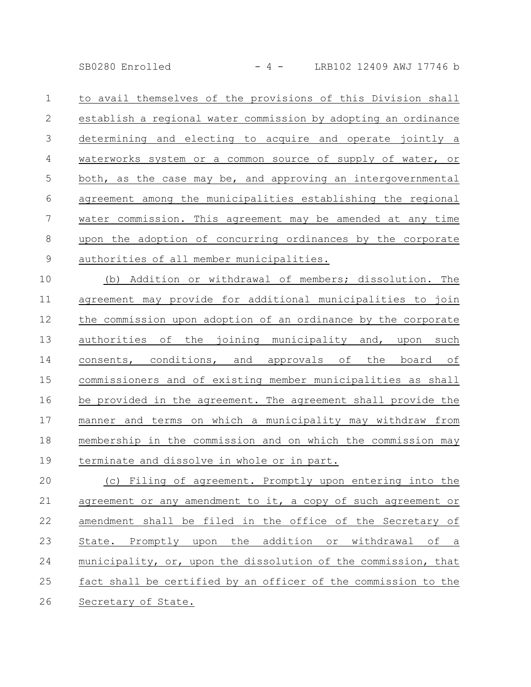SB0280 Enrolled - 4 - LRB102 12409 AWJ 17746 b

to avail themselves of the provisions of this Division shall establish a regional water commission by adopting an ordinance determining and electing to acquire and operate jointly a waterworks system or a common source of supply of water, or both, as the case may be, and approving an intergovernmental agreement among the municipalities establishing the regional water commission. This agreement may be amended at any time upon the adoption of concurring ordinances by the corporate authorities of all member municipalities. 1 2 3 4 5 6 7 8 9

(b) Addition or withdrawal of members; dissolution. The agreement may provide for additional municipalities to join the commission upon adoption of an ordinance by the corporate authorities of the joining municipality and, upon such consents, conditions, and approvals of the board of commissioners and of existing member municipalities as shall be provided in the agreement. The agreement shall provide the manner and terms on which a municipality may withdraw from membership in the commission and on which the commission may terminate and dissolve in whole or in part. 10 11 12 13 14 15 16 17 18 19

(c) Filing of agreement. Promptly upon entering into the agreement or any amendment to it, a copy of such agreement or amendment shall be filed in the office of the Secretary of State. Promptly upon the addition or withdrawal of a municipality, or, upon the dissolution of the commission, that fact shall be certified by an officer of the commission to the Secretary of State. 20 21 22 23 24 25 26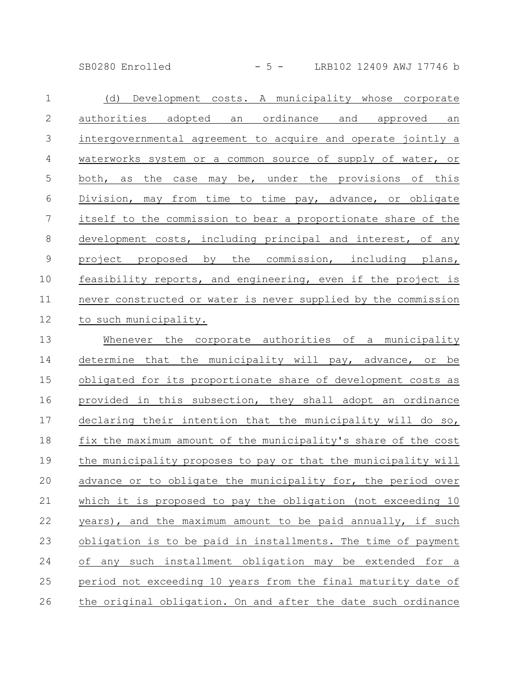SB0280 Enrolled - 5 - LRB102 12409 AWJ 17746 b

| $\mathbf 1$    | (d)<br>Development costs. A municipality whose corporate       |
|----------------|----------------------------------------------------------------|
| $\mathbf{2}$   | authorities adopted an ordinance and approved an               |
| 3              | intergovernmental agreement to acquire and operate jointly a   |
| 4              | waterworks system or a common source of supply of water, or    |
| 5              | the<br>case may be, under the provisions of this<br>both, as   |
| 6              | Division, may from time to time pay, advance, or obligate      |
| $\overline{7}$ | itself to the commission to bear a proportionate share of the  |
| 8              | development costs, including principal and interest, of any    |
| $\overline{9}$ | project proposed by the commission, including plans,           |
| 10             | feasibility reports, and engineering, even if the project is   |
| 11             | never constructed or water is never supplied by the commission |
| 12             | to such municipality.                                          |
| 13             | Whenever the corporate authorities of a municipality           |
| 14             | determine that the municipality will pay, advance, or be       |
| 15             | obligated for its proportionate share of development costs as  |
| 16             | provided in this subsection, they shall adopt an ordinance     |
| 17             | declaring their intention that the municipality will do so,    |
| 18             | fix the maximum amount of the municipality's share of the cost |
| 19             | the municipality proposes to pay or that the municipality will |
| 20             | advance or to obligate the municipality for, the period over   |
| 21             | which it is proposed to pay the obligation (not exceeding 10   |
| 22             | years), and the maximum amount to be paid annually, if such    |
| 23             | obligation is to be paid in installments. The time of payment  |
| 24             | of any such installment obligation may be extended for a       |
| 25             | period not exceeding 10 years from the final maturity date of  |
| 26             | the original obligation. On and after the date such ordinance  |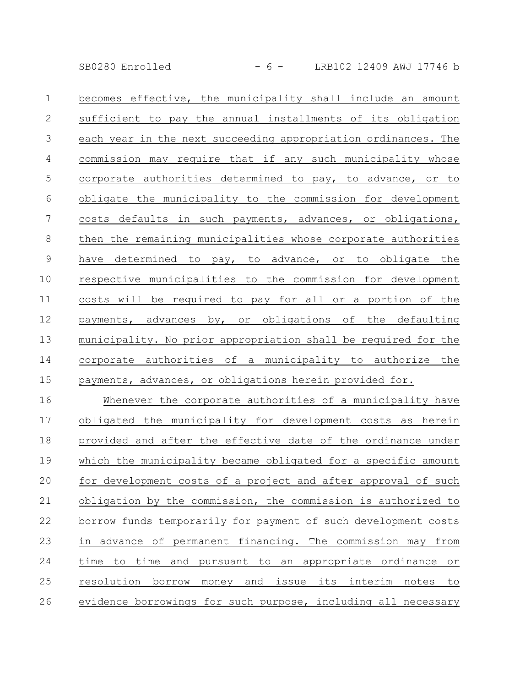SB0280 Enrolled - 6 - LRB102 12409 AWJ 17746 b

becomes effective, the municipality shall include an amount sufficient to pay the annual installments of its obligation each year in the next succeeding appropriation ordinances. The commission may require that if any such municipality whose corporate authorities determined to pay, to advance, or to obligate the municipality to the commission for development costs defaults in such payments, advances, or obligations, then the remaining municipalities whose corporate authorities have determined to pay, to advance, or to obligate the respective municipalities to the commission for development costs will be required to pay for all or a portion of the payments, advances by, or obligations of the defaulting municipality. No prior appropriation shall be required for the corporate authorities of a municipality to authorize the payments, advances, or obligations herein provided for. 1 2 3 4 5 6 7 8 9 10 11 12 13 14 15

Whenever the corporate authorities of a municipality have obligated the municipality for development costs as herein provided and after the effective date of the ordinance under which the municipality became obligated for a specific amount for development costs of a project and after approval of such obligation by the commission, the commission is authorized to borrow funds temporarily for payment of such development costs in advance of permanent financing. The commission may from time to time and pursuant to an appropriate ordinance or resolution borrow money and issue its interim notes to evidence borrowings for such purpose, including all necessary 16 17 18 19 20 21 22 23 24 25 26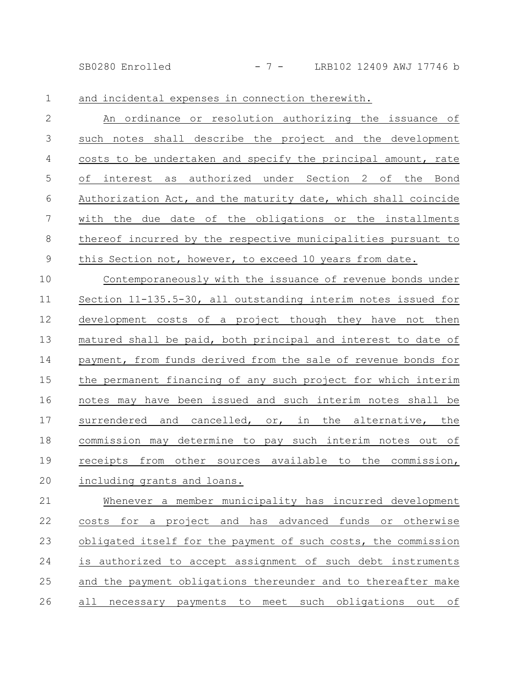SB0280 Enrolled - 7 - LRB102 12409 AWJ 17746 b

and incidental expenses in connection therewith. 1

An ordinance or resolution authorizing the issuance of such notes shall describe the project and the development costs to be undertaken and specify the principal amount, rate of interest as authorized under Section 2 of the Bond Authorization Act, and the maturity date, which shall coincide with the due date of the obligations or the installments thereof incurred by the respective municipalities pursuant to this Section not, however, to exceed 10 years from date. 2 3 4 5 6 7 8 9

Contemporaneously with the issuance of revenue bonds under Section 11-135.5-30, all outstanding interim notes issued for development costs of a project though they have not then matured shall be paid, both principal and interest to date of payment, from funds derived from the sale of revenue bonds for the permanent financing of any such project for which interim notes may have been issued and such interim notes shall be surrendered and cancelled, or, in the alternative, the commission may determine to pay such interim notes out of receipts from other sources available to the commission, including grants and loans. 10 11 12 13 14 15 16 17 18 19 20

Whenever a member municipality has incurred development costs for a project and has advanced funds or otherwise obligated itself for the payment of such costs, the commission is authorized to accept assignment of such debt instruments and the payment obligations thereunder and to thereafter make all necessary payments to meet such obligations out of 21 22 23 24 25 26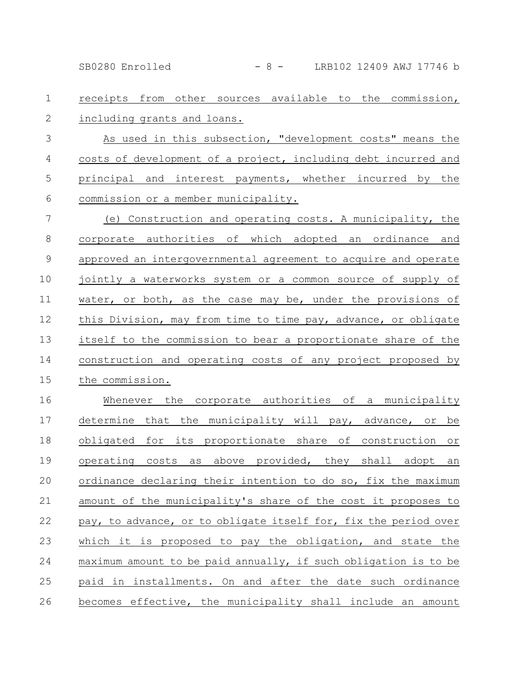SB0280 Enrolled - 8 - LRB102 12409 AWJ 17746 b

## receipts from other sources available to the commission, including grants and loans. 1 2

As used in this subsection, "development costs" means the costs of development of a project, including debt incurred and principal and interest payments, whether incurred by the commission or a member municipality. 3 4 5 6

(e) Construction and operating costs. A municipality, the corporate authorities of which adopted an ordinance and approved an intergovernmental agreement to acquire and operate jointly a waterworks system or a common source of supply of water, or both, as the case may be, under the provisions of this Division, may from time to time pay, advance, or obligate itself to the commission to bear a proportionate share of the construction and operating costs of any project proposed by the commission. 7 8 9 10 11 12 13 14 15

Whenever the corporate authorities of a municipality determine that the municipality will pay, advance, or be obligated for its proportionate share of construction or operating costs as above provided, they shall adopt an ordinance declaring their intention to do so, fix the maximum amount of the municipality's share of the cost it proposes to pay, to advance, or to obligate itself for, fix the period over which it is proposed to pay the obligation, and state the maximum amount to be paid annually, if such obligation is to be paid in installments. On and after the date such ordinance becomes effective, the municipality shall include an amount 16 17 18 19 20 21 22 23 24 25 26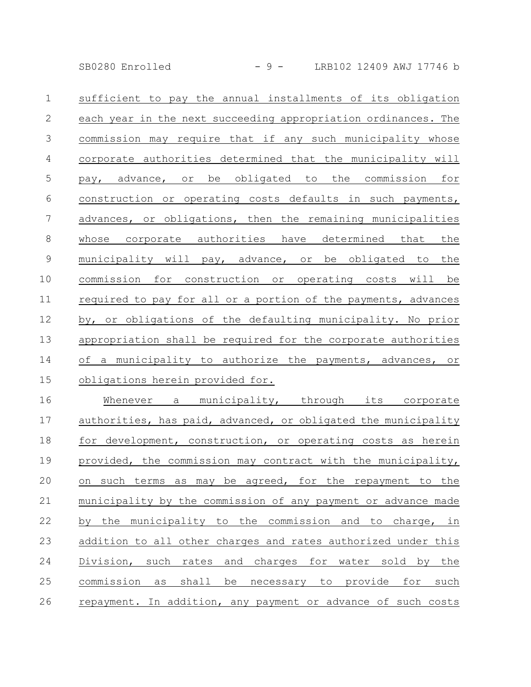SB0280 Enrolled - 9 - LRB102 12409 AWJ 17746 b

| $\mathbf{1}$    | sufficient to pay the annual installments of its obligation    |
|-----------------|----------------------------------------------------------------|
| $\mathbf{2}$    | each year in the next succeeding appropriation ordinances. The |
| $\mathcal{S}$   | commission may require that if any such municipality whose     |
| $\overline{4}$  | corporate authorities determined that the municipality will    |
| $\mathsf S$     | pay, advance, or be obligated to the commission for            |
| 6               | construction or operating costs defaults in such payments,     |
| $7\phantom{.0}$ | advances, or obligations, then the remaining municipalities    |
| $8\,$           | whose corporate authorities have determined that<br>the        |
| $\mathsf 9$     | municipality will pay, advance, or be obligated to<br>the      |
| 10              | commission for construction or operating costs will be         |
| 11              | required to pay for all or a portion of the payments, advances |
| 12              | by, or obligations of the defaulting municipality. No prior    |
| 13              | appropriation shall be required for the corporate authorities  |
| 14              | of a municipality to authorize the payments, advances, or      |
| 15              | obligations herein provided for.                               |
| 16              | Whenever a municipality, through its corporate                 |
| 17              | authorities, has paid, advanced, or obligated the municipality |
| 18              | for development, construction, or operating costs as herein    |
| 19              | provided, the commission may contract with the municipality,   |
| 20              | on such terms as may be agreed, for the repayment to the       |
| 21              | municipality by the commission of any payment or advance made  |
| 22              | by the municipality to the commission and to charge, in        |
| 23              | addition to all other charges and rates authorized under this  |
| 24              | Division, such rates and charges for water sold by the         |
| 25              | commission as<br>shall be necessary to provide for such        |

26 repayment. In addition, any payment or advance of such costs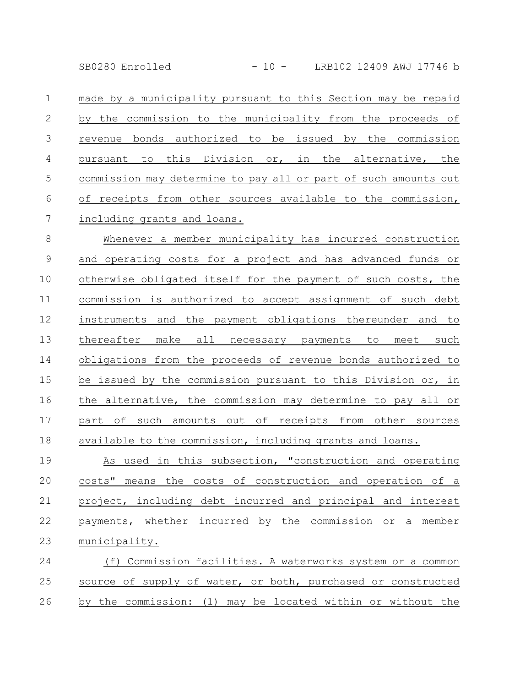SB0280 Enrolled - 10 - LRB102 12409 AWJ 17746 b

made by a municipality pursuant to this Section may be repaid by the commission to the municipality from the proceeds of revenue bonds authorized to be issued by the commission pursuant to this Division or, in the alternative, the commission may determine to pay all or part of such amounts out of receipts from other sources available to the commission, including grants and loans. 1 2 3 4 5 6 7

Whenever a member municipality has incurred construction and operating costs for a project and has advanced funds or otherwise obligated itself for the payment of such costs, the commission is authorized to accept assignment of such debt instruments and the payment obligations thereunder and to thereafter make all necessary payments to meet such obligations from the proceeds of revenue bonds authorized to be issued by the commission pursuant to this Division or, in the alternative, the commission may determine to pay all or part of such amounts out of receipts from other sources available to the commission, including grants and loans. 8 9 10 11 12 13 14 15 16 17 18

As used in this subsection, "construction and operating costs" means the costs of construction and operation of a project, including debt incurred and principal and interest payments, whether incurred by the commission or a member municipality. 19 20 21 22 23

(f) Commission facilities. A waterworks system or a common source of supply of water, or both, purchased or constructed by the commission: (1) may be located within or without the 24 25 26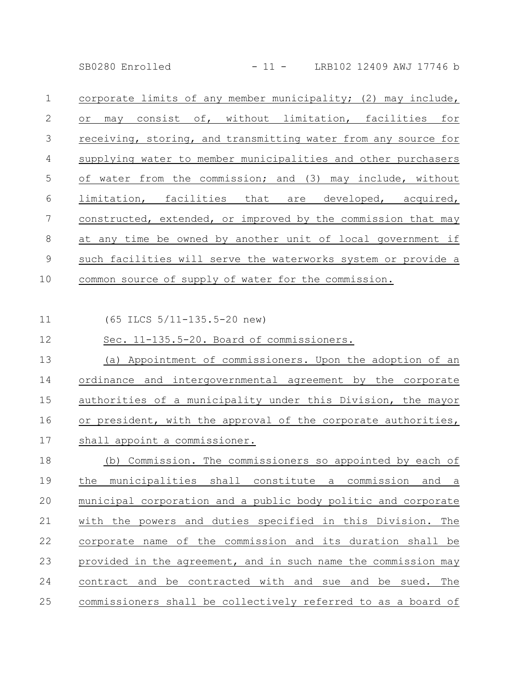SB0280 Enrolled - 11 - LRB102 12409 AWJ 17746 b

corporate limits of any member municipality; (2) may include, or may consist of, without limitation, facilities for receiving, storing, and transmitting water from any source for supplying water to member municipalities and other purchasers of water from the commission; and (3) may include, without limitation, facilities that are developed, acquired, constructed, extended, or improved by the commission that may at any time be owned by another unit of local government if such facilities will serve the waterworks system or provide a common source of supply of water for the commission. 1 2 3 4 5 6 7 8 9 10

(65 ILCS 5/11-135.5-20 new) Sec. 11-135.5-20. Board of commissioners. (a) Appointment of commissioners. Upon the adoption of an ordinance and intergovernmental agreement by the corporate authorities of a municipality under this Division, the mayor or president, with the approval of the corporate authorities, shall appoint a commissioner. (b) Commission. The commissioners so appointed by each of the municipalities shall constitute a commission and a municipal corporation and a public body politic and corporate with the powers and duties specified in this Division. The corporate name of the commission and its duration shall be provided in the agreement, and in such name the commission may contract and be contracted with and sue and be sued. The commissioners shall be collectively referred to as a board of 11 12 13 14 15 16 17 18 19 20 21 22 23 24 25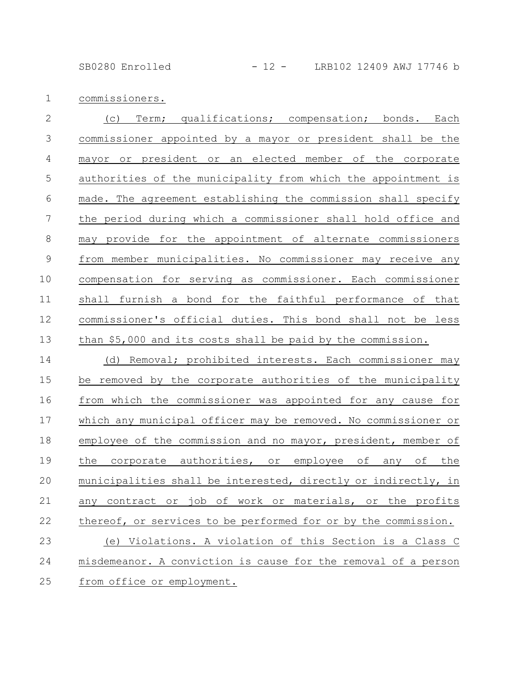SB0280 Enrolled - 12 - LRB102 12409 AWJ 17746 b

commissioners. 1

(c) Term; qualifications; compensation; bonds. Each commissioner appointed by a mayor or president shall be the mayor or president or an elected member of the corporate authorities of the municipality from which the appointment is made. The agreement establishing the commission shall specify the period during which a commissioner shall hold office and may provide for the appointment of alternate commissioners from member municipalities. No commissioner may receive any compensation for serving as commissioner. Each commissioner shall furnish a bond for the faithful performance of that commissioner's official duties. This bond shall not be less than \$5,000 and its costs shall be paid by the commission. (d) Removal; prohibited interests. Each commissioner may be removed by the corporate authorities of the municipality from which the commissioner was appointed for any cause for which any municipal officer may be removed. No commissioner or employee of the commission and no mayor, president, member of 2 3 4 5 6 7 8 9 10 11 12 13 14 15 16 17 18

the corporate authorities, or employee of any of the

municipalities shall be interested, directly or indirectly, in

any contract or job of work or materials, or the profits

thereof, or services to be performed for or by the commission.

misdemeanor. A conviction is cause for the removal of a person

(e) Violations. A violation of this Section is a Class C

from office or employment. 25

19

20

21

22

23

24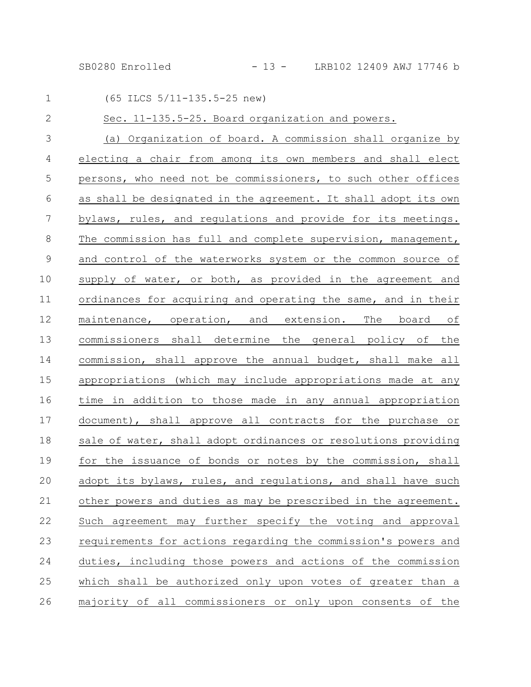SB0280 Enrolled - 13 - LRB102 12409 AWJ 17746 b

| $\mathbf{1}$   | (65 ILCS 5/11-135.5-25 new)                                     |
|----------------|-----------------------------------------------------------------|
| $\mathbf{2}$   | Sec. 11-135.5-25. Board organization and powers.                |
| $\mathfrak{Z}$ | (a) Organization of board. A commission shall organize by       |
| $\overline{4}$ | electing a chair from among its own members and shall elect     |
| 5              | persons, who need not be commissioners, to such other offices   |
| 6              | as shall be designated in the agreement. It shall adopt its own |
| 7              | bylaws, rules, and regulations and provide for its meetings.    |
| 8              | The commission has full and complete supervision, management,   |
| $\mathsf 9$    | and control of the waterworks system or the common source of    |
| 10             | supply of water, or both, as provided in the agreement and      |
| 11             | ordinances for acquiring and operating the same, and in their   |
| 12             | maintenance, operation, and extension. The board of             |
| 13             | commissioners shall determine the general policy of the         |
| 14             | commission, shall approve the annual budget, shall make all     |
| 15             | appropriations (which may include appropriations made at any    |
| 16             | time in addition to those made in any annual appropriation      |
| 17             | document), shall approve all contracts for the purchase or      |
| 18             | sale of water, shall adopt ordinances or resolutions providing  |
| 19             | for the issuance of bonds or notes by the commission, shall     |
| 20             | adopt its bylaws, rules, and regulations, and shall have such   |
| 21             | other powers and duties as may be prescribed in the agreement.  |
| 22             | Such agreement may further specify the voting and approval      |
| 23             | requirements for actions regarding the commission's powers and  |
| 24             | duties, including those powers and actions of the commission    |
| 25             | which shall be authorized only upon votes of greater than a     |
| 26             | majority of all commissioners or only upon consents of the      |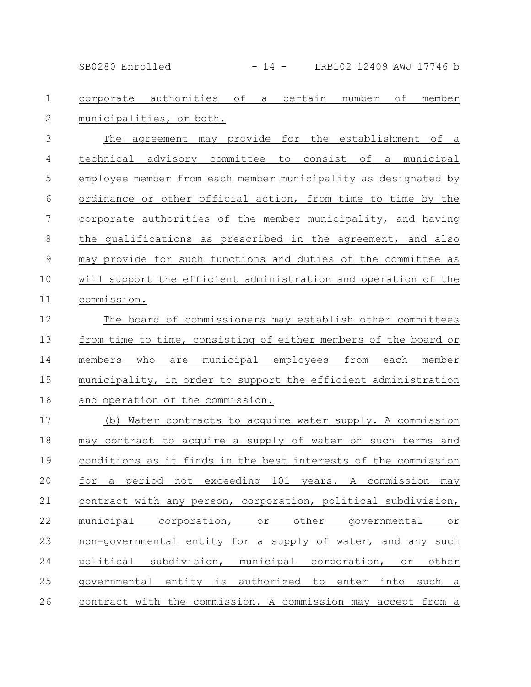SB0280 Enrolled - 14 - LRB102 12409 AWJ 17746 b

corporate authorities of a certain number of member municipalities, or both. 1 2

The agreement may provide for the establishment of a technical advisory committee to consist of a municipal employee member from each member municipality as designated by ordinance or other official action, from time to time by the corporate authorities of the member municipality, and having the qualifications as prescribed in the agreement, and also may provide for such functions and duties of the committee as will support the efficient administration and operation of the commission. 3 4 5 6 7 8 9 10 11

The board of commissioners may establish other committees from time to time, consisting of either members of the board or members who are municipal employees from each member municipality, in order to support the efficient administration and operation of the commission. 12 13 14 15 16

(b) Water contracts to acquire water supply. A commission may contract to acquire a supply of water on such terms and conditions as it finds in the best interests of the commission for a period not exceeding 101 years. A commission may contract with any person, corporation, political subdivision, municipal corporation, or other governmental or non-governmental entity for a supply of water, and any such political subdivision, municipal corporation, or other governmental entity is authorized to enter into such a contract with the commission. A commission may accept from a 17 18 19 20 21 22 23 24 25 26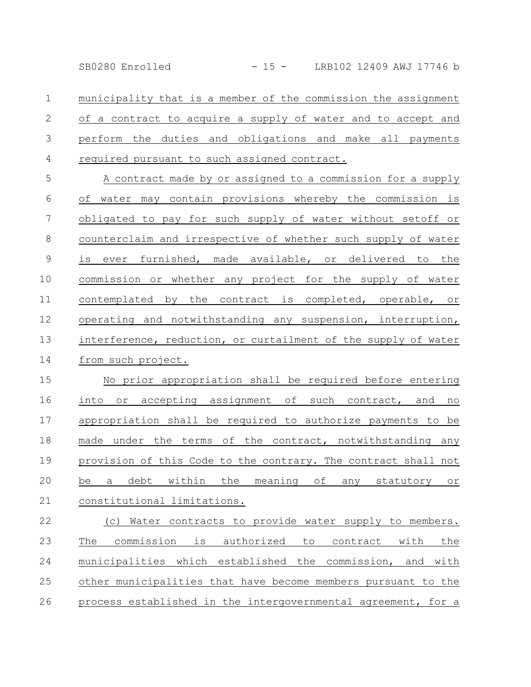SB0280 Enrolled - 15 - LRB102 12409 AWJ 17746 b

municipality that is a member of the commission the assignment of a contract to acquire a supply of water and to accept and perform the duties and obligations and make all payments required pursuant to such assigned contract. 1 2 3 4

A contract made by or assigned to a commission for a supply of water may contain provisions whereby the commission is obligated to pay for such supply of water without setoff or counterclaim and irrespective of whether such supply of water is ever furnished, made available, or delivered to the commission or whether any project for the supply of water contemplated by the contract is completed, operable, or operating and notwithstanding any suspension, interruption, interference, reduction, or curtailment of the supply of water from such project. 5 6 7 8 9 10 11 12 13 14

No prior appropriation shall be required before entering into or accepting assignment of such contract, and no appropriation shall be required to authorize payments to be made under the terms of the contract, notwithstanding any provision of this Code to the contrary. The contract shall not be a debt within the meaning of any statutory or constitutional limitations. 15 16 17 18 19 20 21

(c) Water contracts to provide water supply to members. The commission is authorized to contract with the municipalities which established the commission, and with other municipalities that have become members pursuant to the process established in the intergovernmental agreement, for a 22 23 24 25 26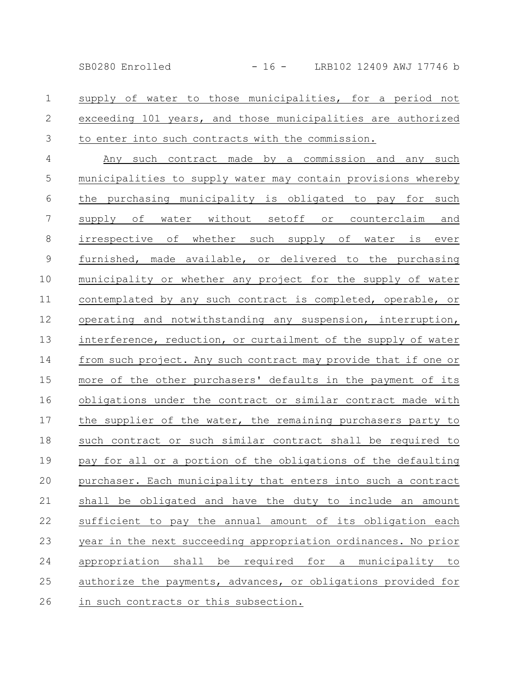supply of water to those municipalities, for a period not exceeding 101 years, and those municipalities are authorized to enter into such contracts with the commission. 1 2 3

Any such contract made by a commission and any such municipalities to supply water may contain provisions whereby the purchasing municipality is obligated to pay for such supply of water without setoff or counterclaim and irrespective of whether such supply of water is ever furnished, made available, or delivered to the purchasing municipality or whether any project for the supply of water contemplated by any such contract is completed, operable, or operating and notwithstanding any suspension, interruption, interference, reduction, or curtailment of the supply of water from such project. Any such contract may provide that if one or more of the other purchasers' defaults in the payment of its obligations under the contract or similar contract made with the supplier of the water, the remaining purchasers party to such contract or such similar contract shall be required to pay for all or a portion of the obligations of the defaulting purchaser. Each municipality that enters into such a contract shall be obligated and have the duty to include an amount sufficient to pay the annual amount of its obligation each year in the next succeeding appropriation ordinances. No prior appropriation shall be required for a municipality to authorize the payments, advances, or obligations provided for in such contracts or this subsection. 4 5 6 7 8 9 10 11 12 13 14 15 16 17 18 19 20 21 22 23 24 25 26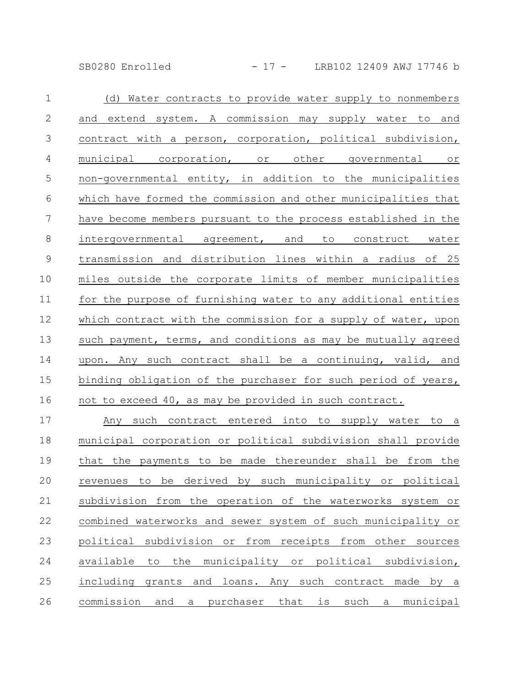SB0280 Enrolled - 17 - LRB102 12409 AWJ 17746 b

| $\mathbf{1}$    | (d) Water contracts to provide water supply to nonmembers      |
|-----------------|----------------------------------------------------------------|
| $\mathbf{2}$    | and extend system. A commission may supply water to and        |
| 3               | contract with a person, corporation, political subdivision,    |
| $\overline{4}$  | municipal corporation, or other governmental or                |
| 5               | non-governmental entity, in addition to the municipalities     |
| $\sqrt{6}$      | which have formed the commission and other municipalities that |
| $7\phantom{.0}$ | have become members pursuant to the process established in the |
| $\,8\,$         | intergovernmental agreement, and to construct water            |
| $\overline{9}$  | transmission and distribution lines within a radius of 25      |
| $10\,$          | miles outside the corporate limits of member municipalities    |
| 11              | for the purpose of furnishing water to any additional entities |
| 12              | which contract with the commission for a supply of water, upon |
| 13              | such payment, terms, and conditions as may be mutually agreed  |
| 14              | upon. Any such contract shall be a continuing, valid, and      |
| 15              | binding obligation of the purchaser for such period of years,  |
| 16              | not to exceed 40, as may be provided in such contract.         |
| 17              | Any such contract entered into to supply water to a            |
|                 |                                                                |

municipal corporation or political subdivision shall provide that the payments to be made thereunder shall be from the revenues to be derived by such municipality or political subdivision from the operation of the waterworks system or combined waterworks and sewer system of such municipality or political subdivision or from receipts from other sources available to the municipality or political subdivision, including grants and loans. Any such contract made by a commission and a purchaser that is such a municipal 18 19 20 21 22 23 24 25 26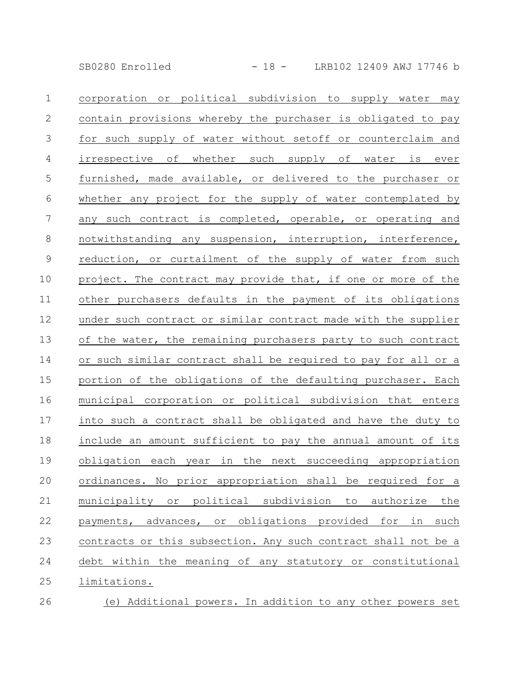SB0280 Enrolled - 18 - LRB102 12409 AWJ 17746 b

corporation or political subdivision to supply water may contain provisions whereby the purchaser is obligated to pay for such supply of water without setoff or counterclaim and irrespective of whether such supply of water is ever furnished, made available, or delivered to the purchaser or whether any project for the supply of water contemplated by any such contract is completed, operable, or operating and notwithstanding any suspension, interruption, interference, reduction, or curtailment of the supply of water from such project. The contract may provide that, if one or more of the other purchasers defaults in the payment of its obligations under such contract or similar contract made with the supplier of the water, the remaining purchasers party to such contract or such similar contract shall be required to pay for all or a portion of the obligations of the defaulting purchaser. Each municipal corporation or political subdivision that enters into such a contract shall be obligated and have the duty to include an amount sufficient to pay the annual amount of its obligation each year in the next succeeding appropriation ordinances. No prior appropriation shall be required for a municipality or political subdivision to authorize the payments, advances, or obligations provided for in such contracts or this subsection. Any such contract shall not be a debt within the meaning of any statutory or constitutional limitations. 1 2 3 4 5 6 7 8 9 10 11 12 13 14 15 16 17 18 19 20 21 22 23 24 25

(e) Additional powers. In addition to any other powers set 26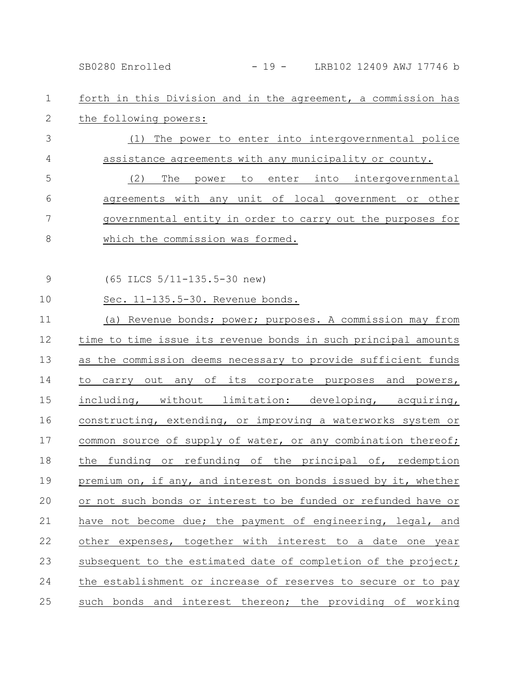SB0280 Enrolled - 19 - LRB102 12409 AWJ 17746 b

forth in this Division and in the agreement, a commission has the following powers: 1 2

(1) The power to enter into intergovernmental police assistance agreements with any municipality or county. (2) The power to enter into intergovernmental agreements with any unit of local government or other governmental entity in order to carry out the purposes for which the commission was formed. 3 4 5 6 7 8

(65 ILCS 5/11-135.5-30 new) 9

Sec. 11-135.5-30. Revenue bonds. 10

(a) Revenue bonds; power; purposes. A commission may from time to time issue its revenue bonds in such principal amounts as the commission deems necessary to provide sufficient funds to carry out any of its corporate purposes and powers, including, without limitation: developing, acquiring, constructing, extending, or improving a waterworks system or common source of supply of water, or any combination thereof; the funding or refunding of the principal of, redemption premium on, if any, and interest on bonds issued by it, whether or not such bonds or interest to be funded or refunded have or have not become due; the payment of engineering, legal, and other expenses, together with interest to a date one year subsequent to the estimated date of completion of the project; the establishment or increase of reserves to secure or to pay such bonds and interest thereon; the providing of working 11 12 13 14 15 16 17 18 19 20 21 22 23 24 25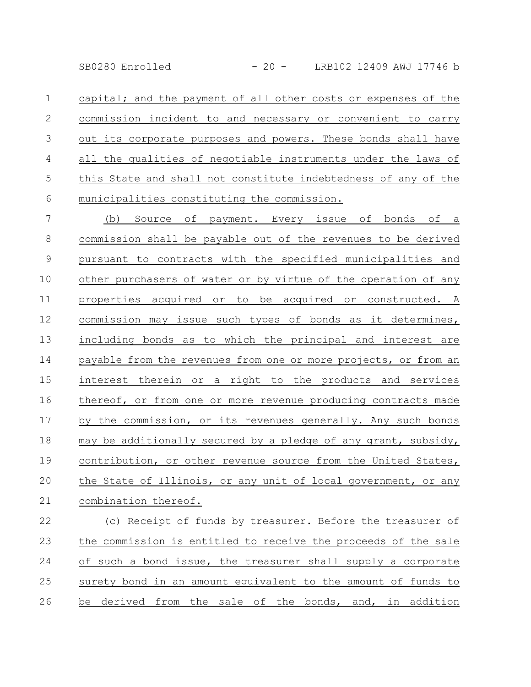SB0280 Enrolled - 20 - LRB102 12409 AWJ 17746 b

capital; and the payment of all other costs or expenses of the commission incident to and necessary or convenient to carry out its corporate purposes and powers. These bonds shall have all the qualities of negotiable instruments under the laws of this State and shall not constitute indebtedness of any of the municipalities constituting the commission. 1 2 3 4 5 6

(b) Source of payment. Every issue of bonds of a commission shall be payable out of the revenues to be derived pursuant to contracts with the specified municipalities and other purchasers of water or by virtue of the operation of any properties acquired or to be acquired or constructed. A commission may issue such types of bonds as it determines, including bonds as to which the principal and interest are payable from the revenues from one or more projects, or from an interest therein or a right to the products and services thereof, or from one or more revenue producing contracts made by the commission, or its revenues generally. Any such bonds may be additionally secured by a pledge of any grant, subsidy, contribution, or other revenue source from the United States, the State of Illinois, or any unit of local government, or any combination thereof. 7 8 9 10 11 12 13 14 15 16 17 18 19 20 21

(c) Receipt of funds by treasurer. Before the treasurer of the commission is entitled to receive the proceeds of the sale of such a bond issue, the treasurer shall supply a corporate surety bond in an amount equivalent to the amount of funds to be derived from the sale of the bonds, and, in addition 22 23 24 25 26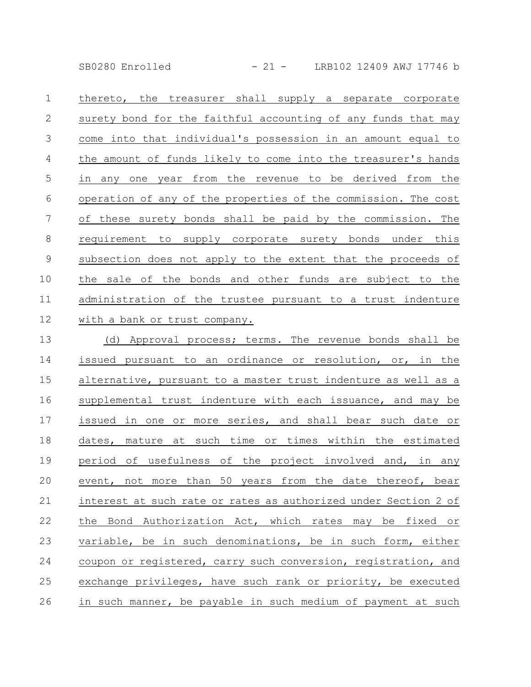SB0280 Enrolled - 21 - LRB102 12409 AWJ 17746 b

thereto, the treasurer shall supply a separate corporate surety bond for the faithful accounting of any funds that may come into that individual's possession in an amount equal to the amount of funds likely to come into the treasurer's hands in any one year from the revenue to be derived from the operation of any of the properties of the commission. The cost of these surety bonds shall be paid by the commission. The requirement to supply corporate surety bonds under this subsection does not apply to the extent that the proceeds of the sale of the bonds and other funds are subject to the administration of the trustee pursuant to a trust indenture with a bank or trust company. 1 2 3 4 5 6 7 8 9 10 11 12

(d) Approval process; terms. The revenue bonds shall be issued pursuant to an ordinance or resolution, or, in the alternative, pursuant to a master trust indenture as well as a supplemental trust indenture with each issuance, and may be issued in one or more series, and shall bear such date or dates, mature at such time or times within the estimated period of usefulness of the project involved and, in any event, not more than 50 years from the date thereof, bear interest at such rate or rates as authorized under Section 2 of the Bond Authorization Act, which rates may be fixed or variable, be in such denominations, be in such form, either coupon or registered, carry such conversion, registration, and exchange privileges, have such rank or priority, be executed in such manner, be payable in such medium of payment at such 13 14 15 16 17 18 19 20 21 22 23 24 25 26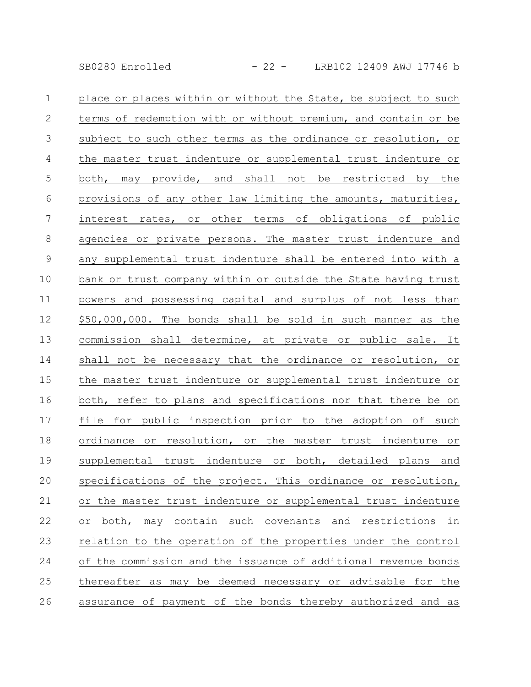| $\mathbf{1}$   | place or places within or without the State, be subject to such |
|----------------|-----------------------------------------------------------------|
| $\mathbf{2}$   | terms of redemption with or without premium, and contain or be  |
| $\mathfrak{Z}$ | subject to such other terms as the ordinance or resolution, or  |
| $\overline{4}$ | the master trust indenture or supplemental trust indenture or   |
| 5              | both, may provide, and shall not be restricted by the           |
| 6              | provisions of any other law limiting the amounts, maturities,   |
| 7              | interest rates, or other terms of obligations of public         |
| $\,8\,$        | agencies or private persons. The master trust indenture and     |
| $\mathsf 9$    | any supplemental trust indenture shall be entered into with a   |
| 10             | bank or trust company within or outside the State having trust  |
| 11             | powers and possessing capital and surplus of not less than      |
| 12             | \$50,000,000. The bonds shall be sold in such manner as the     |
| 13             | commission shall determine, at private or public sale. It       |
| 14             | shall not be necessary that the ordinance or resolution, or     |
| 15             | the master trust indenture or supplemental trust indenture or   |
| 16             | both, refer to plans and specifications nor that there be on    |
| 17             | file for public inspection prior to the adoption of such        |
| 18             | ordinance or resolution, or the master trust indenture or       |
| 19             | supplemental trust indenture or both, detailed plans and        |
| 20             | specifications of the project. This ordinance or resolution,    |
| 21             | or the master trust indenture or supplemental trust indenture   |
| 22             | or both, may contain such covenants and restrictions in         |
| 23             | relation to the operation of the properties under the control   |
| 24             | of the commission and the issuance of additional revenue bonds  |
| 25             | thereafter as may be deemed necessary or advisable for the      |
| 26             | assurance of payment of the bonds thereby authorized and as     |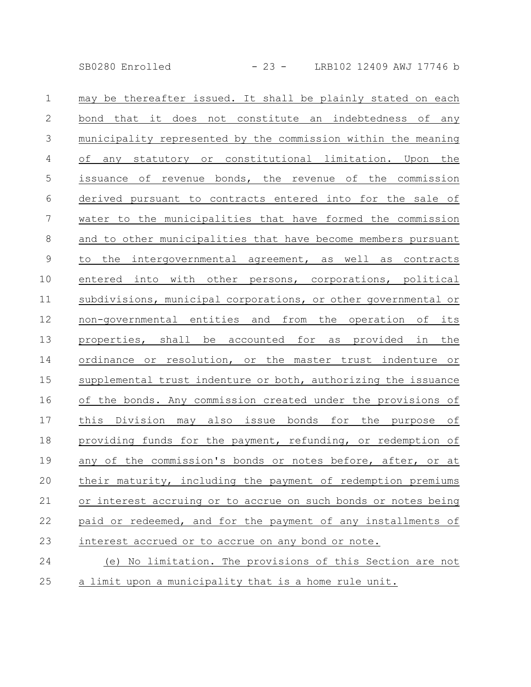SB0280 Enrolled - 23 - LRB102 12409 AWJ 17746 b

may be thereafter issued. It shall be plainly stated on each bond that it does not constitute an indebtedness of any municipality represented by the commission within the meaning of any statutory or constitutional limitation. Upon the issuance of revenue bonds, the revenue of the commission derived pursuant to contracts entered into for the sale of water to the municipalities that have formed the commission and to other municipalities that have become members pursuant to the intergovernmental agreement, as well as contracts entered into with other persons, corporations, political subdivisions, municipal corporations, or other governmental or non-governmental entities and from the operation of its properties, shall be accounted for as provided in the ordinance or resolution, or the master trust indenture or supplemental trust indenture or both, authorizing the issuance of the bonds. Any commission created under the provisions of this Division may also issue bonds for the purpose of providing funds for the payment, refunding, or redemption of any of the commission's bonds or notes before, after, or at their maturity, including the payment of redemption premiums or interest accruing or to accrue on such bonds or notes being paid or redeemed, and for the payment of any installments of interest accrued or to accrue on any bond or note. (e) No limitation. The provisions of this Section are not 1 2 3 4 5 6 7 8 9 10 11 12 13 14 15 16 17 18 19 20 21 22 23 24

a limit upon a municipality that is a home rule unit. 25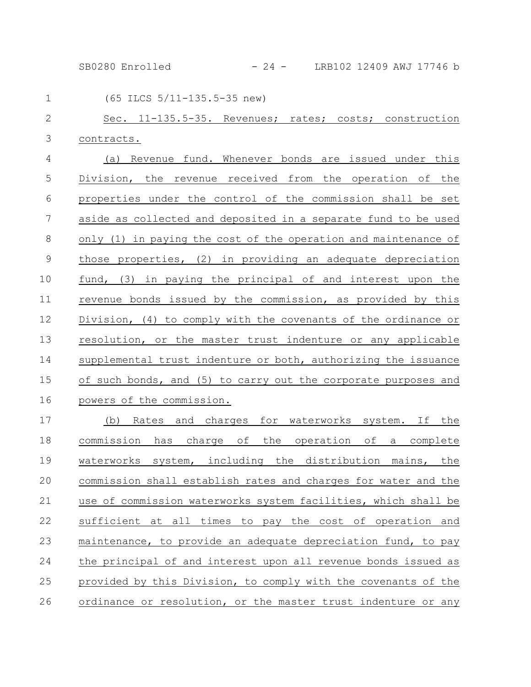SB0280 Enrolled - 24 - LRB102 12409 AWJ 17746 b

| $\mathbf 1$    | (65 ILCS 5/11-135.5-35 new)                                     |
|----------------|-----------------------------------------------------------------|
| $\mathbf{2}$   | Sec. 11-135.5-35. Revenues; rates; costs; construction          |
| 3              | contracts.                                                      |
| $\overline{4}$ | (a) Revenue fund. Whenever bonds are issued under this          |
| 5              | Division, the revenue received from the operation of the        |
| 6              | properties under the control of the commission shall be set     |
| 7              | aside as collected and deposited in a separate fund to be used  |
| 8              | only (1) in paying the cost of the operation and maintenance of |
| $\mathsf 9$    | those properties, (2) in providing an adequate depreciation     |
| 10             | fund, (3) in paying the principal of and interest upon the      |
| 11             | revenue bonds issued by the commission, as provided by this     |
| 12             | Division, (4) to comply with the covenants of the ordinance or  |
| 13             | resolution, or the master trust indenture or any applicable     |
| 14             | supplemental trust indenture or both, authorizing the issuance  |
| 15             | of such bonds, and (5) to carry out the corporate purposes and  |
| 16             | powers of the commission.                                       |
| 17             | (b) Rates and charges for waterworks system. If the             |
| 18             | commission has charge of the operation of a complete            |
| 19             | waterworks system, including the distribution mains, the        |
| 20             | commission shall establish rates and charges for water and the  |
| 21             | use of commission waterworks system facilities, which shall be  |
| 22             | sufficient at all times to pay the cost of operation and        |
| 23             | maintenance, to provide an adequate depreciation fund, to pay   |
| 24             | the principal of and interest upon all revenue bonds issued as  |
| 25             | provided by this Division, to comply with the covenants of the  |
| 26             | ordinance or resolution, or the master trust indenture or any   |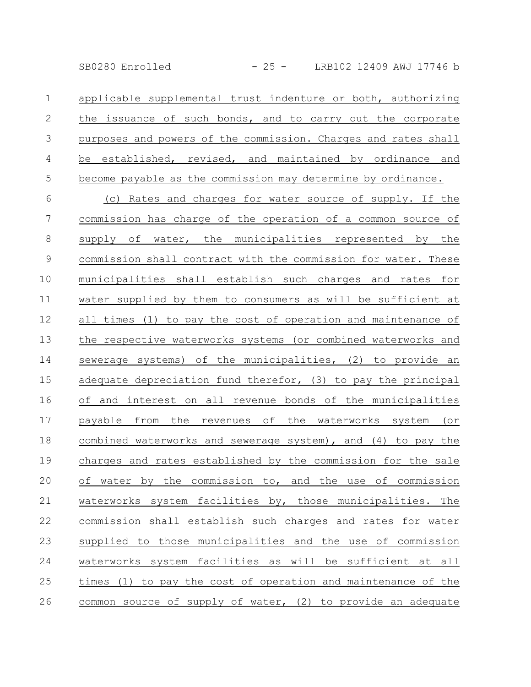| 1              | applicable supplemental trust indenture or both, authorizing   |
|----------------|----------------------------------------------------------------|
| $\mathbf{2}$   | the issuance of such bonds, and to carry out the corporate     |
| $\mathfrak{Z}$ | purposes and powers of the commission. Charges and rates shall |
| $\overline{4}$ | be established, revised, and maintained by ordinance and       |
| 5              | become payable as the commission may determine by ordinance.   |
| 6              | (c) Rates and charges for water source of supply. If the       |
| $\overline{7}$ | commission has charge of the operation of a common source of   |
| $8\,$          | supply of water, the municipalities represented by the         |
| $\mathsf 9$    | commission shall contract with the commission for water. These |
| 10             | municipalities shall establish such charges and rates for      |
| 11             | water supplied by them to consumers as will be sufficient at   |
| 12             | all times (1) to pay the cost of operation and maintenance of  |
| 13             | the respective waterworks systems (or combined waterworks and  |
| 14             | sewerage systems) of the municipalities, (2) to provide an     |
| 15             | adequate depreciation fund therefor, (3) to pay the principal  |
| 16             | of and interest on all revenue bonds of the municipalities     |
| 17             | payable from the revenues of the waterworks system (or         |
| 18             | combined waterworks and sewerage system), and (4) to pay the   |
| 19             | charges and rates established by the commission for the sale   |
| 20             | of water by the commission to, and the use of commission       |
| 21             | waterworks system facilities by, those municipalities. The     |
| 22             | commission shall establish such charges and rates for water    |
| 23             | supplied to those municipalities and the use of commission     |
| 24             | waterworks system facilities as will be sufficient at all      |
| 25             | times (1) to pay the cost of operation and maintenance of the  |
| 26             | common source of supply of water, (2) to provide an adequate   |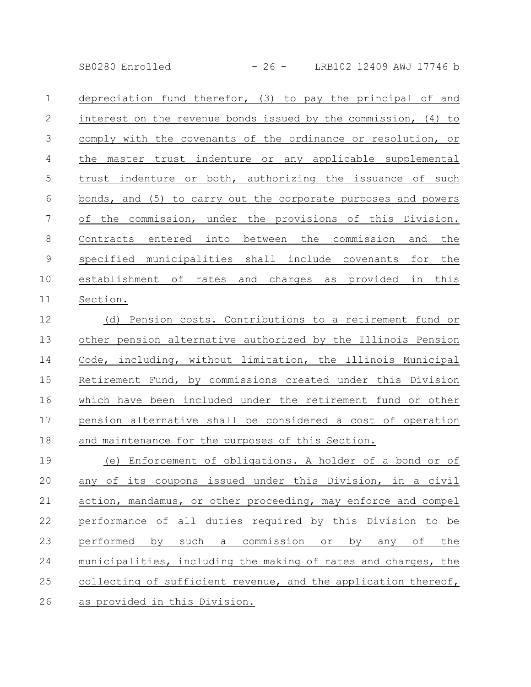SB0280 Enrolled - 26 - LRB102 12409 AWJ 17746 b

depreciation fund therefor, (3) to pay the principal of and interest on the revenue bonds issued by the commission, (4) to comply with the covenants of the ordinance or resolution, or the master trust indenture or any applicable supplemental trust indenture or both, authorizing the issuance of such bonds, and (5) to carry out the corporate purposes and powers of the commission, under the provisions of this Division. Contracts entered into between the commission and the specified municipalities shall include covenants for the establishment of rates and charges as provided in this Section. 1 2 3 4 5 6 7 8 9 10 11

(d) Pension costs. Contributions to a retirement fund or other pension alternative authorized by the Illinois Pension Code, including, without limitation, the Illinois Municipal Retirement Fund, by commissions created under this Division which have been included under the retirement fund or other pension alternative shall be considered a cost of operation and maintenance for the purposes of this Section. 12 13 14 15 16 17 18

(e) Enforcement of obligations. A holder of a bond or of any of its coupons issued under this Division, in a civil action, mandamus, or other proceeding, may enforce and compel performance of all duties required by this Division to be performed by such a commission or by any of the municipalities, including the making of rates and charges, the collecting of sufficient revenue, and the application thereof, as provided in this Division. 19 20 21 22 23 24 25 26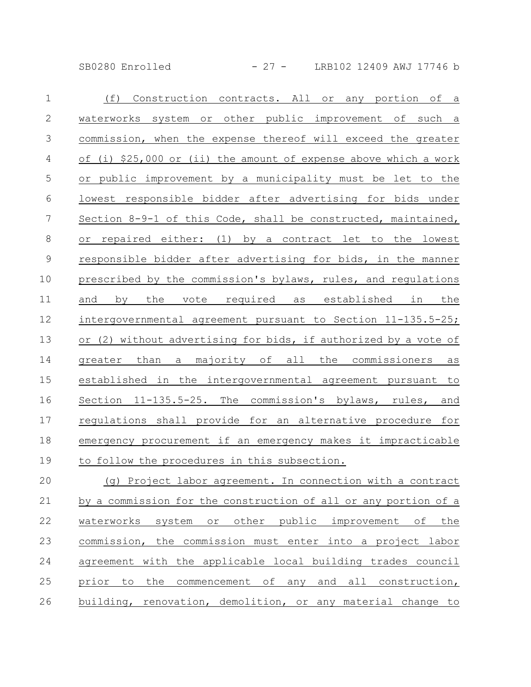SB0280 Enrolled - 27 - LRB102 12409 AWJ 17746 b

| $\mathbf 1$     | (f)<br>Construction contracts. All or any portion of a                        |
|-----------------|-------------------------------------------------------------------------------|
| $\mathbf{2}$    | waterworks system or other public improvement of such a                       |
| 3               | commission, when the expense thereof will exceed the greater                  |
| 4               | of (i) \$25,000 or (ii) the amount of expense above which a work              |
| 5               | or public improvement by a municipality must be let to the                    |
| 6               | lowest responsible bidder after advertising for bids under                    |
| $7\phantom{.0}$ | Section 8-9-1 of this Code, shall be constructed, maintained,                 |
| 8               | or repaired either: (1) by a contract let to the lowest                       |
| $\mathsf 9$     | responsible bidder after advertising for bids, in the manner                  |
| 10              | prescribed by the commission's bylaws, rules, and regulations                 |
| 11              | by the vote required as established in<br>the<br>and                          |
| 12              | intergovernmental agreement pursuant to Section 11-135.5-25;                  |
| 13              | or (2) without advertising for bids, if authorized by a vote of               |
| 14              | a majority of all the commissioners<br>greater than<br>as                     |
| 15              | established in the intergovernmental agreement pursuant to                    |
| 16              | Section 11-135.5-25. The commission's bylaws, rules,<br>and                   |
| 17              | regulations shall provide for an alternative procedure for                    |
| 18              | emergency procurement if an emergency makes it impracticable                  |
| 19              | to follow the procedures in this subsection.                                  |
| 20              | (g) Project labor agreement. In connection with a contract                    |
| 21              | by a commission for the construction of all or any portion of a               |
| 22              | other<br>public<br>improvement of<br>waterworks<br>system<br>$\circ$ r<br>the |
| 23              | the commission must enter into a project labor<br>commission,                 |

agreement with the applicable local building trades council prior to the commencement of any and all construction, building, renovation, demolition, or any material change to 24 25 26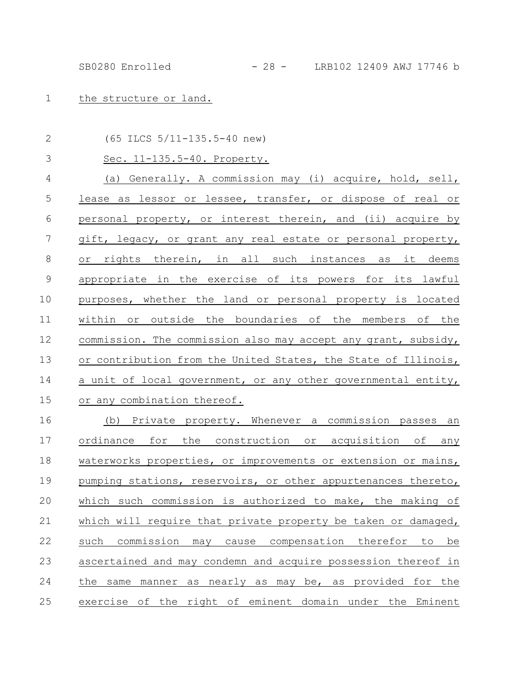1 the structure or land.

| $\mathbf{2}$    | $(65$ ILCS $5/11-135.5-40$ new)                                         |
|-----------------|-------------------------------------------------------------------------|
| 3               | Sec. 11-135.5-40. Property.                                             |
| $\overline{4}$  | (a) Generally. A commission may (i) acquire, hold, sell,                |
| 5               | lease as lessor or lessee, transfer, or dispose of real or              |
| $\sqrt{6}$      | personal property, or interest therein, and (ii) acquire by             |
| $7\phantom{.0}$ | gift, legacy, or grant any real estate or personal property,            |
| $8\,$           | or rights therein, in all such instances as it deems                    |
| $\mathsf 9$     | appropriate in the exercise of its powers for its lawful                |
| 10              | purposes, whether the land or personal property is located              |
| 11              | within or outside the boundaries of the members of the                  |
| 12              | commission. The commission also may accept any grant, subsidy,          |
| 13              | or contribution from the United States, the State of Illinois,          |
| 14              | a unit of local government, or any other governmental entity,           |
| 15              | or any combination thereof.                                             |
| 16              | (b) Private property. Whenever a commission passes an                   |
| 17              | ordinance for the construction or acquisition of any                    |
| 18              | waterworks properties, or improvements or extension or mains,           |
| 19              | pumping stations, reservoirs, or other appurtenances thereto,           |
| 20              | which such commission is authorized to make, the making of              |
| 21              | which will require that private property be taken or damaged,           |
| 22              | commission<br>compensation therefor<br>be<br>such<br>may<br>cause<br>to |
| 23              | ascertained and may condemn and acquire possession thereof in           |
| 24              | manner as nearly as may be, as provided for the<br>the same             |
| 25              | exercise of the right of eminent domain under the Eminent               |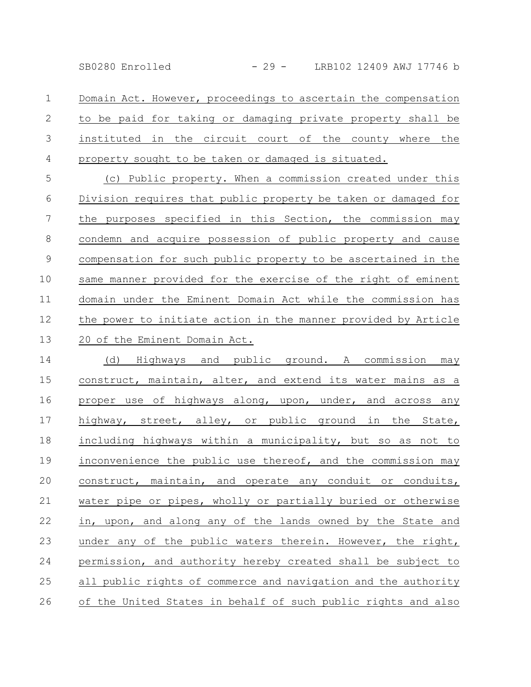SB0280 Enrolled - 29 - LRB102 12409 AWJ 17746 b

Domain Act. However, proceedings to ascertain the compensation to be paid for taking or damaging private property shall be instituted in the circuit court of the county where the property sought to be taken or damaged is situated. 1 2 3 4

(c) Public property. When a commission created under this Division requires that public property be taken or damaged for the purposes specified in this Section, the commission may condemn and acquire possession of public property and cause compensation for such public property to be ascertained in the same manner provided for the exercise of the right of eminent domain under the Eminent Domain Act while the commission has the power to initiate action in the manner provided by Article 20 of the Eminent Domain Act. 5 6 7 8 9 10 11 12 13

(d) Highways and public ground. A commission may construct, maintain, alter, and extend its water mains as a proper use of highways along, upon, under, and across any highway, street, alley, or public ground in the State, including highways within a municipality, but so as not to inconvenience the public use thereof, and the commission may construct, maintain, and operate any conduit or conduits, water pipe or pipes, wholly or partially buried or otherwise in, upon, and along any of the lands owned by the State and under any of the public waters therein. However, the right, permission, and authority hereby created shall be subject to all public rights of commerce and navigation and the authority of the United States in behalf of such public rights and also 14 15 16 17 18 19 20 21 22 23 24 25 26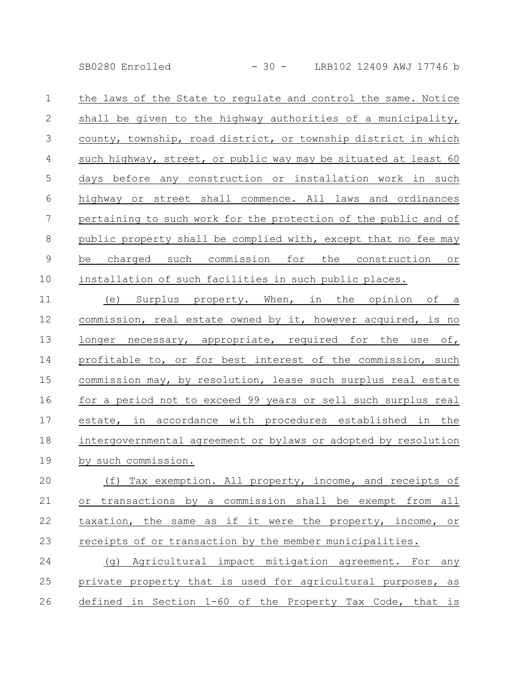SB0280 Enrolled - 30 - LRB102 12409 AWJ 17746 b

the laws of the State to regulate and control the same. Notice shall be given to the highway authorities of a municipality, county, township, road district, or township district in which such highway, street, or public way may be situated at least 60 days before any construction or installation work in such highway or street shall commence. All laws and ordinances pertaining to such work for the protection of the public and of public property shall be complied with, except that no fee may be charged such commission for the construction or installation of such facilities in such public places. 1 2 3 4 5 6 7 8 9 10

(e) Surplus property. When, in the opinion of a commission, real estate owned by it, however acquired, is no longer necessary, appropriate, required for the use of, profitable to, or for best interest of the commission, such commission may, by resolution, lease such surplus real estate for a period not to exceed 99 years or sell such surplus real estate, in accordance with procedures established in the intergovernmental agreement or bylaws or adopted by resolution by such commission. 11 12 13 14 15 16 17 18 19

(f) Tax exemption. All property, income, and receipts of or transactions by a commission shall be exempt from all taxation, the same as if it were the property, income, or receipts of or transaction by the member municipalities. 20 21 22 23

(g) Agricultural impact mitigation agreement. For any private property that is used for agricultural purposes, as defined in Section 1-60 of the Property Tax Code, that is 24 25 26